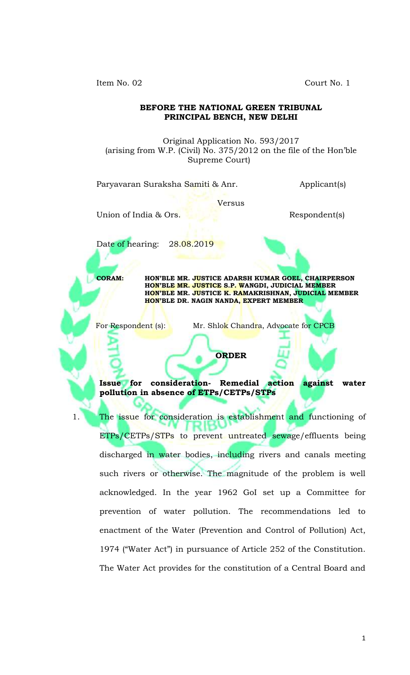Item No. 02 Court No. 1

#### **BEFORE THE NATIONAL GREEN TRIBUNAL PRINCIPAL BENCH, NEW DELHI**

Original Application No. 593/2017 (arising from W.P. (Civil) No. 375/2012 on the file of the Hon'ble Supreme Court)

Paryavaran Suraksha Samiti & Anr. (Applicant Applicant s)

Versus

Union of India & Ors. Respondent(s)

Date of hearing: 28.08.2019

**CORAM: HON'BLE MR. JUSTICE ADARSH KUMAR GOEL, CHAIRPERSON HON'BLE MR. JUSTICE S.P. WANGDI, JUDICIAL MEMBER HON'BLE MR. JUSTICE K. RAMAKRISHNAN, JUDICIAL MEMBER HON'BLE DR. NAGIN NANDA, EXPERT MEMBER**

For Respondent (s): Mr. Shlok Chandra, Advocate for CPCB

**Issue for consideration- Remedial action against water pollution in absence of ETPs/CETPs/STPs**

**ORDER**

1. The issue for consideration is establishment and functioning of ETPs/CETPs/STPs to prevent untreated sewage/effluents being discharged in water bodies, including rivers and canals meeting such rivers or otherwise. The magnitude of the problem is well acknowledged. In the year 1962 GoI set up a Committee for prevention of water pollution. The recommendations led to enactment of the Water (Prevention and Control of Pollution) Act, 1974 ("Water Act") in pursuance of Article 252 of the Constitution. The Water Act provides for the constitution of a Central Board and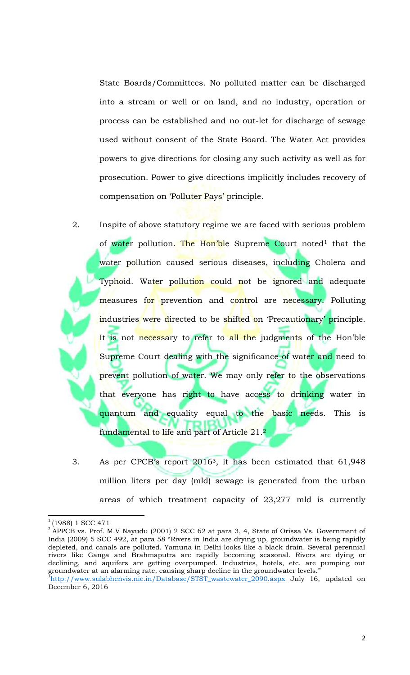State Boards/Committees. No polluted matter can be discharged into a stream or well or on land, and no industry, operation or process can be established and no out-let for discharge of sewage used without consent of the State Board. The Water Act provides powers to give directions for closing any such activity as well as for prosecution. Power to give directions implicitly includes recovery of compensation on 'Polluter Pays' principle.

- 2. Inspite of above statutory regime we are faced with serious problem of water pollution. The Hon'ble Supreme Court noted<sup>1</sup> that the water pollution caused serious diseases, including Cholera and Typhoid. Water pollution could not be ignored and adequate measures for prevention and control are necessary. Polluting industries were directed to be shifted on 'Precautionary' principle. It is not necessary to refer to all the judgments of the Hon'ble Supreme Court dealing with the significance of water and need to prevent pollution of water. We may only refer to the observations that everyone has right to have access to drinking water in quantum and equality equal to the basic needs. This is fundamental to life and part of Article 21.<sup>2</sup>
- 3. As per CPCB's report 20163, it has been estimated that 61,948 million liters per day (mld) sewage is generated from the urban areas of which treatment capacity of 23,277 mld is currently

 $\overline{\phantom{a}}$ 

<sup>1</sup> (1988) 1 SCC 471

 $2^{2}$  APPCB vs. Prof. M.V Nayudu (2001) 2 SCC 62 at para 3, 4, State of Orissa Vs. Government of India (2009) 5 SCC 492, at para 58 "Rivers in India are drying up, groundwater is being rapidly depleted, and canals are polluted. Yamuna in Delhi looks like a black drain. Several perennial rivers like Ganga and Brahmaputra are rapidly becoming seasonal. Rivers are dying or declining, and aquifers are getting overpumped. Industries, hotels, etc. are pumping out groundwater at an alarming rate, causing sharp decline in the groundwater levels."<br><sup>3</sup>http://www.aulahhanvia.nie.in/Database/STST westerrater.2000.com; ...but...16

http://www.sulabhenvis.nic.in/Database/STST\_wastewater\_2090.aspx July 16, updated on December 6, 2016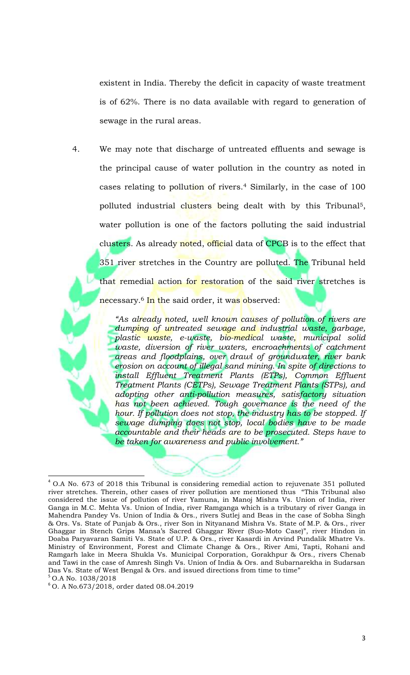existent in India. Thereby the deficit in capacity of waste treatment is of 62%. There is no data available with regard to generation of sewage in the rural areas.

4. We may note that discharge of untreated effluents and sewage is the principal cause of water pollution in the country as noted in cases relating to pollution of rivers.<sup>4</sup> Similarly, in the case of 100 polluted industrial clusters being dealt with by this Tribunal<sup>5</sup>, water pollution is one of the factors polluting the said industrial clusters. As already noted, official data of CPCB is to the effect that 351 river stretches in the Country are polluted. The Tribunal held that remedial action for restoration of the said river stretches is necessary.<sup>6</sup> In the said order, it was observed:

> *"As already noted, well known causes of pollution of rivers are dumping of untreated sewage and industrial waste, garbage, plastic waste, e-waste, bio-medical waste, municipal solid waste, diversion of river waters, encroachments of catchment areas and floodplains, over drawl of groundwater, river bank erosion on account of illegal sand mining. In spite of directions to install Effluent Treatment Plants (ETPs), Common Effluent Treatment Plants (CETPs), Sewage Treatment Plants (STPs), and adopting other anti-pollution measures, satisfactory situation has not been achieved. Tough governance is the need of the*  hour. If pollution does not stop, the industry has to be stopped. If *sewage dumping does not stop, local bodies have to be made accountable and their heads are to be prosecuted. Steps have to be taken for awareness and public involvement."*

l  $4$  O.A No. 673 of 2018 this Tribunal is considering remedial action to rejuvenate 351 polluted river stretches. Therein, other cases of river pollution are mentioned thus "This Tribunal also considered the issue of pollution of river Yamuna, in Manoj Mishra Vs. Union of India, river Ganga in M.C. Mehta Vs. Union of India, river Ramganga which is a tributary of river Ganga in Mahendra Pandey Vs. Union of India & Ors., rivers Sutlej and Beas in the case of Sobha Singh & Ors. Vs. State of Punjab & Ors., river Son in Nityanand Mishra Vs. State of M.P. & Ors., river Ghaggar in Stench Grips Mansa's Sacred Ghaggar River (Suo-Moto Case)", river Hindon in Doaba Paryavaran Samiti Vs. State of U.P. & Ors., river Kasardi in Arvind Pundalik Mhatre Vs. Ministry of Environment, Forest and Climate Change & Ors., River Ami, Tapti, Rohani and Ramgarh lake in Meera Shukla Vs. Municipal Corporation, Gorakhpur & Ors., rivers Chenab and Tawi in the case of Amresh Singh Vs. Union of India & Ors. and Subarnarekha in Sudarsan Das Vs. State of West Bengal & Ors. and issued directions from time to time" <sup>5</sup> O.A No. 1038/2018

<sup>6</sup> O. A No.673/2018, order dated 08.04.2019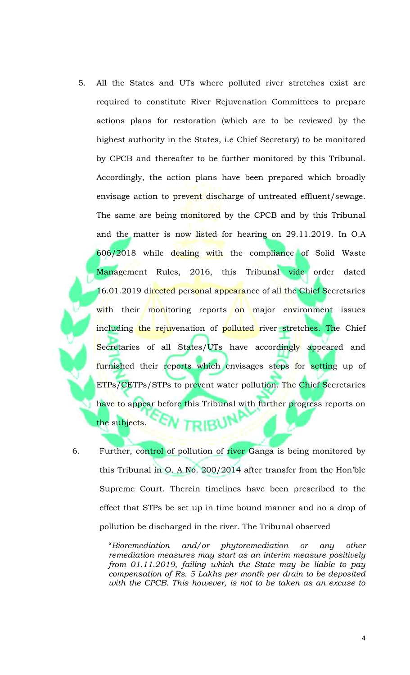- 5. All the States and UTs where polluted river stretches exist are required to constitute River Rejuvenation Committees to prepare actions plans for restoration (which are to be reviewed by the highest authority in the States, i.e Chief Secretary) to be monitored by CPCB and thereafter to be further monitored by this Tribunal. Accordingly, the action plans have been prepared which broadly envisage action to prevent discharge of untreated effluent/sewage. The same are being monitored by the CPCB and by this Tribunal and the matter is now listed for hearing on 29.11.2019. In O.A 606/2018 while dealing with the compliance of Solid Waste Management Rules, 2016, this Tribunal vide order dated 16.01.2019 directed personal appearance of all the Chief Secretaries with their monitoring reports on major environment issues including the rejuvenation of polluted river stretches. The Chief Secretaries of all States/UTs have accordingly appeared and furnished their reports which envisages steps for setting up of ETPs/CETPs/STPs to prevent water pollution. The Chief Secretaries have to appear before this Tribunal with further progress reports on the subjects. RIBV
- 6. Further, control of pollution of river Ganga is being monitored by this Tribunal in O. A No. 200/2014 after transfer from the Hon'ble Supreme Court. Therein timelines have been prescribed to the effect that STPs be set up in time bound manner and no a drop of pollution be discharged in the river. The Tribunal observed

"*Bioremediation and/or phytoremediation or any other remediation measures may start as an interim measure positively from 01.11.2019, failing which the State may be liable to pay compensation of Rs. 5 Lakhs per month per drain to be deposited with the CPCB. This however, is not to be taken as an excuse to*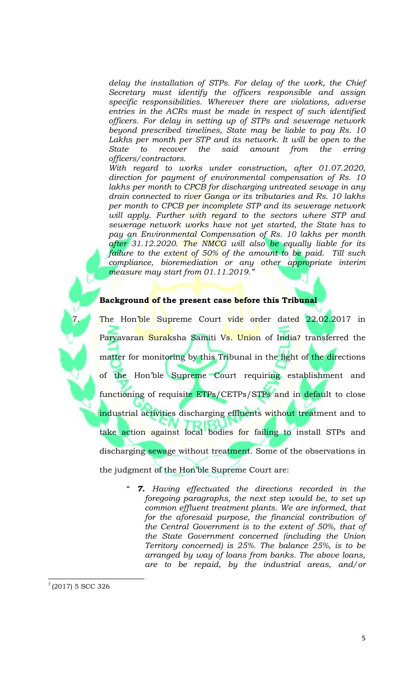*delay the installation of STPs. For delay of the work, the Chief Secretary must identify the officers responsible and assign specific responsibilities. Wherever there are violations, adverse entries in the ACRs must be made in respect of such identified officers. For delay in setting up of STPs and sewerage network beyond prescribed timelines, State may be liable to pay Rs. 10*  Lakhs per month per STP and its network. It will be open to the *State to recover the said amount from the erring officers/contractors.*

*With regard to works under construction, after 01.07.2020, direction for payment of environmental compensation of Rs. 10*  lakhs per month to CPCB for discharging untreated sewage in any *drain connected to river Ganga or its tributaries and Rs. 10 lakhs per month to CPCB per incomplete STP and its sewerage network will apply. Further with regard to the sectors where STP and sewerage network works have not yet started, the State has to pay an Environmental Compensation of Rs. 10 lakhs per month after 31.12.2020. The NMCG will also be equally liable for its failure to the extent of 50% of the amount to be paid. Till such compliance, bioremediation or any other appropriate interim measure may start from 01.11.2019."*

#### **Background of the present case before this Tribunal**

The Hon'ble Supreme Court vide order dated 22.02.2017 in Paryavaran Suraksha Samiti Vs. Union of India7 transferred the matter for monitoring by this Tribunal in the light of the directions of the Hon'ble Supreme Court requiring establishment and functioning of requisite ETPs/CETPs/STPs and in default to close industrial activities discharging effluents without treatment and to take action against local bodies for failing to install STPs and discharging sewage without treatment. Some of the observations in the judgment of the Hon'ble Supreme Court are:

> " *7. Having effectuated the directions recorded in the foregoing paragraphs, the next step would be, to set up common effluent treatment plants. We are informed, that for the aforesaid purpose, the financial contribution of the Central Government is to the extent of 50%, that of the State Government concerned (including the Union Territory concerned) is 25%. The balance 25%, is to be arranged by way of loans from banks. The above loans, are to be repaid, by the industrial areas, and/or*

 $\overline{\phantom{a}}$ 

 $7(2017)$  5 SCC 326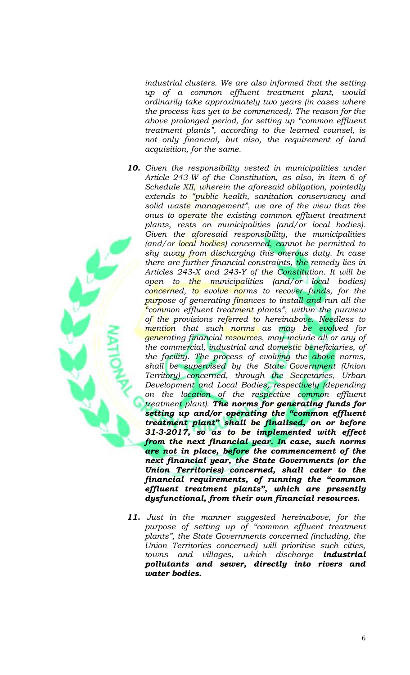*industrial clusters. We are also informed that the setting up of a common effluent treatment plant, would ordinarily take approximately two years (in cases where the process has yet to be commenced). The reason for the above prolonged period, for setting up "common effluent treatment plants", according to the learned counsel, is not only financial, but also, the requirement of land acquisition, for the same.*

- *10. Given the responsibility vested in municipalities under Article 243-W of the Constitution, as also, in Item 6 of Schedule XII, wherein the aforesaid obligation, pointedly extends to "public health, sanitation conservancy and solid waste management", we are of the view that the onus to operate the existing common effluent treatment plants, rests on municipalities (and/or local bodies). Given the aforesaid responsibility, the municipalities (and/or local bodies) concerned, cannot be permitted to shy away from discharging this onerous duty. In case there are further financial constraints, the remedy lies in Articles 243-X and 243-Y of the Constitution. It will be open to the municipalities (and/or local bodies) concerned, to evolve norms to recover funds, for the purpose of generating finances to install and run all the "common effluent treatment plants", within the purview of the provisions referred to hereinabove. Needless to mention that such norms as may be evolved for generating financial resources, may include all or any of the commercial, industrial and domestic beneficiaries, of the facility. The process of evolving the above norms, shall be supervised by the State Government (Union Territory) concerned, through the Secretaries, Urban Development and Local Bodies, respectively (depending on the location of the respective common effluent treatment plant). The norms for generating funds for setting up and/or operating the "common effluent treatment plant" shall be finalised, on or before 31-3-2017, so as to be implemented with effect from the next financial year. In case, such norms are not in place, before the commencement of the next financial year, the State Governments (or the Union Territories) concerned, shall cater to the financial requirements, of running the "common effluent treatment plants", which are presently dysfunctional, from their own financial resources.*
- *11. Just in the manner suggested hereinabove, for the purpose of setting up of "common effluent treatment plants", the State Governments concerned (including, the Union Territories concerned) will prioritise such cities, towns and villages, which discharge industrial pollutants and sewer, directly into rivers and water bodies.*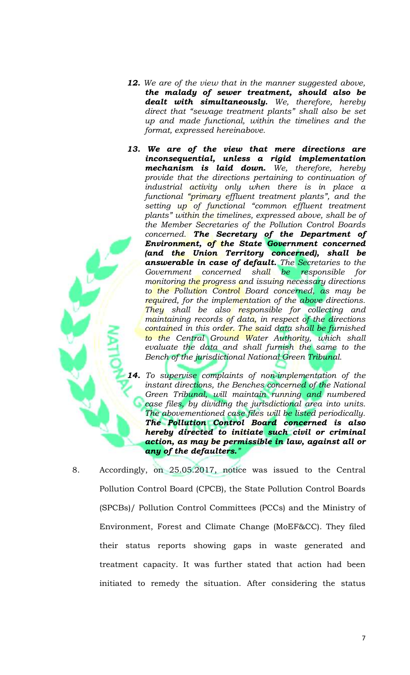- *12. We are of the view that in the manner suggested above, the malady of sewer treatment, should also be dealt with simultaneously. We, therefore, hereby direct that "sewage treatment plants" shall also be set up and made functional, within the timelines and the format, expressed hereinabove.*
- *13. We are of the view that mere directions are inconsequential, unless a rigid implementation mechanism is laid down. We, therefore, hereby provide that the directions pertaining to continuation of industrial activity only when there is in place a functional "primary effluent treatment plants", and the setting up of functional "common effluent treatment plants" within the timelines, expressed above, shall be of the Member Secretaries of the Pollution Control Boards concerned. The Secretary of the Department of Environment, of the State Government concerned (and the Union Territory concerned), shall be answerable in case of default. The Secretaries to the Government concerned shall be responsible for monitoring the progress and issuing necessary directions to the Pollution Control Board concerned, as may be required, for the implementation of the above directions. They shall be also responsible for collecting and maintaining records of data, in respect of the directions contained in this order. The said data shall be furnished to the Central Ground Water Authority, which shall evaluate the data and shall furnish the same to the Bench of the jurisdictional National Green Tribunal.*

*14. To supervise complaints of non-implementation of the instant directions, the Benches concerned of the National Green Tribunal, will maintain running and numbered case files, by dividing the jurisdictional area into units. The abovementioned case files will be listed periodically. The Pollution Control Board concerned is also hereby directed to initiate such civil or criminal action, as may be permissible in law, against all or any of the defaulters."*

8. Accordingly, on 25.05.2017, notice was issued to the Central Pollution Control Board (CPCB), the State Pollution Control Boards (SPCBs)/ Pollution Control Committees (PCCs) and the Ministry of Environment, Forest and Climate Change (MoEF&CC). They filed their status reports showing gaps in waste generated and treatment capacity. It was further stated that action had been initiated to remedy the situation. After considering the status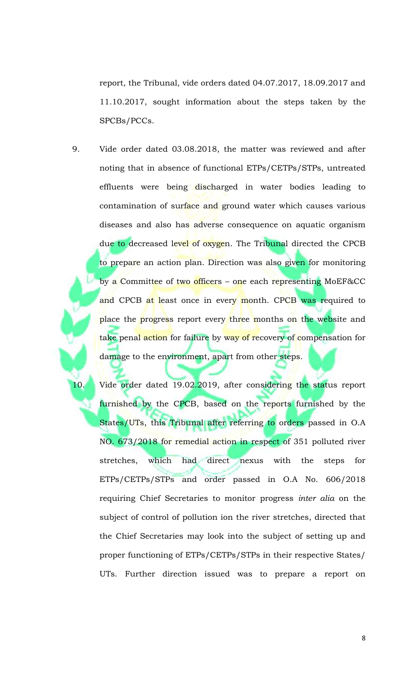report, the Tribunal, vide orders dated 04.07.2017, 18.09.2017 and 11.10.2017, sought information about the steps taken by the SPCBs/PCCs.

9. Vide order dated 03.08.2018, the matter was reviewed and after noting that in absence of functional ETPs/CETPs/STPs, untreated effluents were being discharged in water bodies leading to contamination of surface and ground water which causes various diseases and also has adverse consequence on aquatic organism due to decreased level of oxygen. The Tribunal directed the CPCB to prepare an action plan. Direction was also given for monitoring by a Committee of two officers – one each representing MoEF&CC and CPCB at least once in every month. CPCB was required to place the progress report every three months on the website and take penal action for failure by way of recovery of compensation for damage to the environment, apart from other steps.

10. Vide order dated 19.02.2019, after considering the status report furnished by the CPCB, based on the reports furnished by the States/UTs, this Tribunal after referring to orders passed in O.A NO. 673/2018 for remedial action in respect of 351 polluted river stretches, which had direct nexus with the steps for ETPs/CETPs/STPs and order passed in O.A No. 606/2018 requiring Chief Secretaries to monitor progress *inter alia* on the subject of control of pollution ion the river stretches, directed that the Chief Secretaries may look into the subject of setting up and proper functioning of ETPs/CETPs/STPs in their respective States/ UTs. Further direction issued was to prepare a report on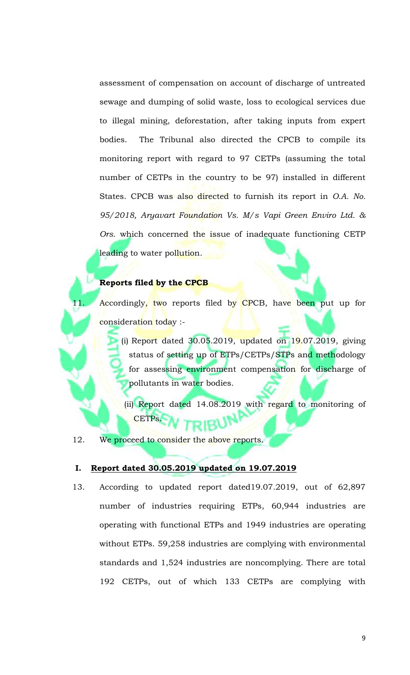assessment of compensation on account of discharge of untreated sewage and dumping of solid waste, loss to ecological services due to illegal mining, deforestation, after taking inputs from expert bodies. The Tribunal also directed the CPCB to compile its monitoring report with regard to 97 CETPs (assuming the total number of CETPs in the country to be 97) installed in different States. CPCB was also directed to furnish its report in *O.A. No. 95/2018, Aryavart Foundation Vs. M/s Vapi Green Enviro Ltd. & Ors.* which concerned the issue of inadequate functioning CETP leading to water pollution.

### **Reports filed by the CPCB**

11. Accordingly, two reports filed by CPCB, have been put up for consideration today :-

> (i) Report dated  $30.05.2019$ , updated on  $19.07.2019$ , giving status of setting up of ETPs/CETPs/STPs and methodology for assessing environment compensation for discharge of pollutants in water bodies.

(ii) Report dated 14.08.2019 with regard to monitoring of CETPs.

12. We proceed to consider the above reports.

#### **I. Report dated 30.05.2019 updated on 19.07.2019**

13. According to updated report dated19.07.2019, out of 62,897 number of industries requiring ETPs, 60,944 industries are operating with functional ETPs and 1949 industries are operating without ETPs. 59,258 industries are complying with environmental standards and 1,524 industries are noncomplying. There are total 192 CETPs, out of which 133 CETPs are complying with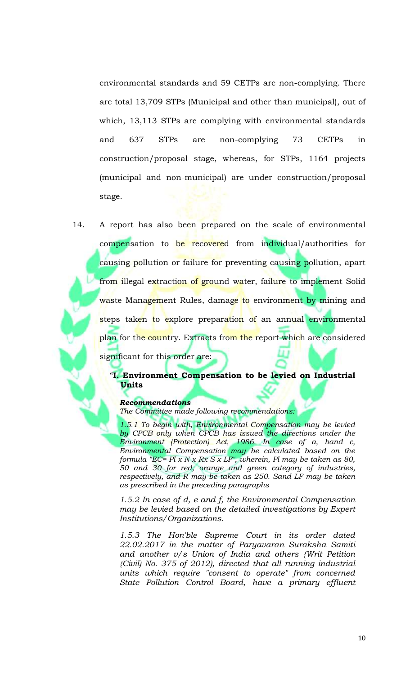environmental standards and 59 CETPs are non-complying. There are total 13,709 STPs (Municipal and other than municipal), out of which, 13,113 STPs are complying with environmental standards and 637 STPs are non-complying 73 CETPs in construction/proposal stage, whereas, for STPs, 1164 projects (municipal and non-municipal) are under construction/proposal stage.

14. A report has also been prepared on the scale of environmental compensation to be recovered from individual/authorities for causing pollution or failure for preventing causing pollution, apart from illegal extraction of ground water, failure to implement Solid waste Management Rules, damage to environment by mining and steps taken to explore preparation of an annual environmental plan for the country. Extracts from the report which are considered significant for this order are:

## "**I. Environment Compensation to be levied on Industrial Units**

#### *Recommendations*

*The Committee made following recommendations:* 

*1.5.1 To begin with, Environmental Compensation may be levied by CPCB only when CPCB has issued the directions under the Environment (Protection) Act, 1986. In case of a, band c, Environmental Compensation may be calculated based on the formula "EC= Pl x N x Rx S x LF", wherein, Pl may be taken as 80, 50 and 30 for red, orange and green category of industries, respectively, and R may be taken as 250. Sand LF may be taken as prescribed in the preceding paragraphs*

*1.5.2 In case of d, e and f, the Environmental Compensation may be levied based on the detailed investigations by Expert Institutions/Organizations.* 

*1.5.3 The Hon'ble Supreme Court in its order dated 22.02.2017 in the matter of Paryavaran Suraksha Samiti and another v/s Union of India and others {Writ Petition {Civil) No. 375 of 2012), directed that all running industrial units which require "consent to operate" from concerned State Pollution Control Board, have a primary effluent*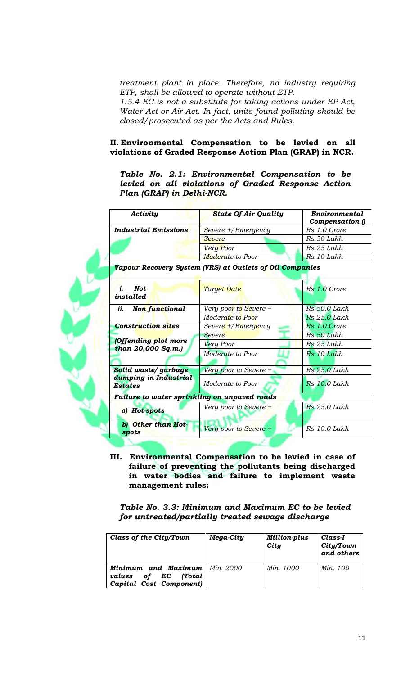*treatment plant in place. Therefore, no industry requiring ETP, shall be allowed to operate without ETP. 1.5.4 EC is not a substitute for taking actions under EP Act, Water Act or Air Act. In fact, units found polluting should be closed/prosecuted as per the Acts and Rules.*

### **II. Environmental Compensation to be levied on all violations of Graded Response Action Plan (GRAP) in NCR.**

*Table No. 2.1: Environmental Compensation to be levied on all violations of Graded Response Action Plan (GRAP) in Delhi-NCR.*

| Activity                                         | <b>State Of Air Quality</b>                              | Environmental<br>Compensation () |
|--------------------------------------------------|----------------------------------------------------------|----------------------------------|
| <b>Industrial Emissions</b>                      | Severe +/Emergency                                       | Rs 1.0 Crore                     |
|                                                  | Severe                                                   | Rs 50 Lakh                       |
|                                                  | Very Poor                                                | Rs 25 Lakh                       |
|                                                  | Moderate to Poor                                         | Rs 10 Lakh                       |
|                                                  | Vapour Recovery System (VRS) at Outlets of Oil Companies |                                  |
| <b>Not</b><br>i.<br>installed                    | <b>Target Date</b>                                       | Rs 1.0 Crore                     |
| ii.<br>Non functional                            | Very poor to Severe +                                    | <b>Rs</b> 50.0 Lakh              |
|                                                  | Moderate to Poor                                         | <b>Rs</b> 25.0 Lakh              |
| <b>Construction sites</b>                        | Severe +/Emergency                                       | Rs 1.0 Crore                     |
|                                                  | <b>Severe</b>                                            | Rs 50 Lakh                       |
| <b>Offending plot more</b><br>than 20,000 Sq.m.) | Very Poor                                                | Rs 25 Lakh                       |
|                                                  | Moderate to Poor                                         | Rs 10 Lakh                       |
| Solid waste/garbage                              | Very poor to Severe +                                    | Rs 25.0 Lakh                     |
| dumping in Industrial<br><b>Estates</b>          | Moderate to Poor                                         | Rs 10.0 Lakh                     |
| Failure to water sprinkling on unpaved roads     |                                                          |                                  |
| a) Hot-spots                                     | Very poor to Severe +                                    | $Rs 25.0$ Lakh                   |
| b) Other than Hot-<br>spots                      | Very poor to Severe +                                    | Rs 10.0 Lakh                     |

**III. Environmental Compensation to be levied in case of failure of preventing the pollutants being discharged in water bodies and failure to implement waste management rules:**

*Table No. 3.3: Minimum and Maximum EC to be levied for untreated/partially treated sewage discharge* 

| Class of the City/Town                                                                         | Mega-City | <b>Million-plus</b><br>City | Class-I<br>City/Town<br>and others |  |
|------------------------------------------------------------------------------------------------|-----------|-----------------------------|------------------------------------|--|
| <b>Minimum and Maximum</b>   Min. 2000<br>of EC<br>Total)<br>values<br>Capital Cost Component) |           | <i>Min.</i> 1000            | Min. 100                           |  |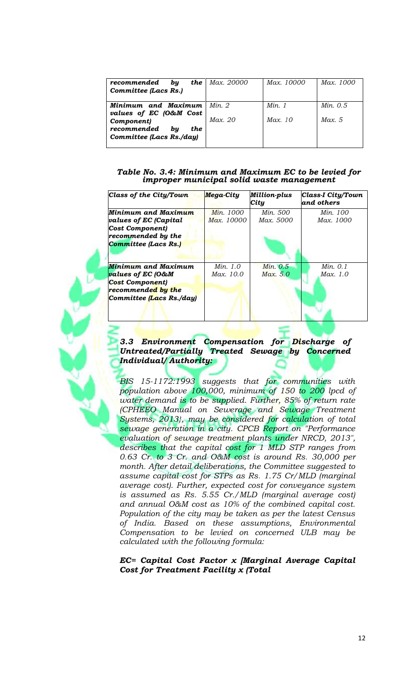| the<br>by<br>recommended<br><b>Committee (Lacs Rs.)</b>            | Max. 20000 | Max. 10000 | Max. 1000  |
|--------------------------------------------------------------------|------------|------------|------------|
| Minimum and Maximum<br>values of EC (O&M Cost                      | Min. 2     | Min. 1     | Min. $0.5$ |
| Component)<br>recommended<br>bu<br>the<br>Committee (Lacs Rs./day) | Max. 20    | Max. 10    | Max. 5     |

#### *Table No. 3.4: Minimum and Maximum EC to be levied for improper municipal solid waste management*

| Class of the City/Town       | <b>Mega-City</b> | Million-plus<br>City | <b>Class-I City/Town</b><br>and others |
|------------------------------|------------------|----------------------|----------------------------------------|
| Minimum and Maximum          | <i>Min.</i> 1000 | Min. 500             | Min. 100                               |
| <i>values of EC (Capital</i> | Max. 10000       | Max. 5000            | Max. 1000                              |
| Cost Component)              |                  |                      |                                        |
| recommended by the           |                  |                      |                                        |
| <b>Committee (Lacs Rs.)</b>  |                  |                      |                                        |
| Minimum and Maximum          | <i>Min.</i> 1.0  | Min. 0.5             | Min. 0.1                               |
| <i>values of EC (O&amp;M</i> | Max. 10.0        | Max. 5.0             | Max. 1.0                               |
| <b>Cost Component)</b>       |                  |                      |                                        |
| recommended by the           |                  |                      |                                        |
| Committee (Lacs Rs./day)     |                  |                      |                                        |

### *Committee (Lacs Rs.) Untreated/Partially Treated Sewage by Concerned 3.3 Environment Compensation for Discharge of Individual/ Authority:*

*BIS 15-1172:1993 suggests that for communities with population above 100,000, minimum of 150 to 200 lpcd of water demand is to be supplied. Further, 85% of return rate (CPHEEO Manual on Sewerage and Sewage Treatment Systems, 2013}, may be considered for calculation of total sewage generation in a city. CPCB Report on "Performance evaluation of sewage treatment plants under NRCD, 2013", describes that the capital cost for 1 MLD STP ranges from 0.63 Cr. to 3 Cr. and O&M cost is around Rs. 30,000 per month. After detail deliberations, the Committee suggested to assume capital cost for STPs as Rs. 1.75 Cr/MLD (marginal average cost). Further, expected cost for conveyance system is assumed as Rs. 5.55 Cr./MLD (marginal average cost) and annual O&M cost as 10% of the combined capital cost. Population of the city may be taken as per the latest Census of India. Based on these assumptions, Environmental Compensation to be levied on concerned ULB may be calculated with the following formula:*

#### *EC= Capital Cost Factor x [Marginal Average Capital Cost for Treatment Facility x (Total*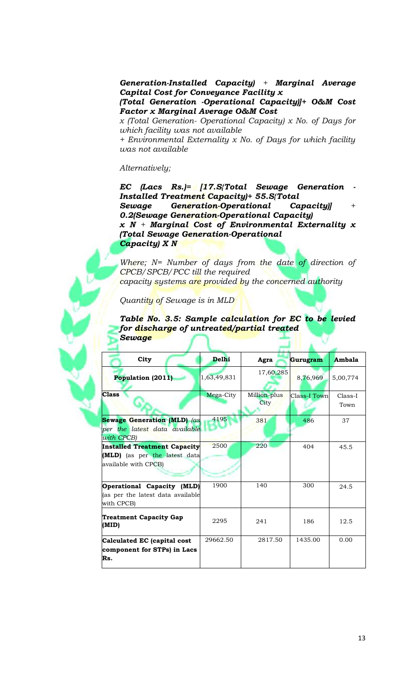*Generation-Installed Capacity) + Marginal Average Capital Cost for Conveyance Facility x*

*(Total Generation -Operational Capacity)]+ O&M Cost Factor x Marginal Average O&M Cost*

*x (Total Generation- Operational Capacity) x No. of Days for which facility was not available*

*+ Environmental Externality x No. of Days for which facility was not available*

#### *Alternatively;*

*EC (Lacs Rs.)= [17.S{Total Sewage Generation - Installed Treatment Capacity)+ 55.S{Total Sewage Generation-Operational Capacity)] + 0.2(Sewage Generation-Operational Capacity) x N + Marginal Cost of Environmental Externality x (Total Sewage Generation-Operational Capacity) X N*

*Where; N= Number of days from the date of direction of CPCB/SPCB/PCC till the required capacity systems are provided by the concerned authority*

*Quantity of Sewage is in MLD*

*Table No. 3.5: Sample calculation for EC to be levied for discharge of untreated/partial treated Sewage*

| City                                                                                  | <b>Delhi</b> | Agra                        | Gurugram            | Ambala            |
|---------------------------------------------------------------------------------------|--------------|-----------------------------|---------------------|-------------------|
| Population (2011)                                                                     | 1,63,49,831  | 17,60,285                   | 8,76,969            | 5,00,774          |
| <b>Class</b>                                                                          | Mega-City    | Million-plus<br><b>City</b> | <b>Class-I Town</b> | $Class-I$<br>Town |
| <b>Sewage Generation (MLD)</b> (as<br>per the latest data available<br>with CPCB)     | 4195         | 381                         | 486                 | 37                |
| Installed Treatment Capacity<br>(MLD) (as per the latest data<br>available with CPCB) | 2500         | 220                         | 404                 | 45.5              |
| Operational Capacity (MLD)<br>(as per the latest data available<br>with CPCB)         | 1900         | 140                         | 300                 | 24.5              |
| <b>Treatment Capacity Gap</b><br>(MID)                                                | 2295         | 241                         | 186                 | 12.5              |
| Calculated EC (capital cost<br>component for STPs) in Lacs<br>Rs.                     | 29662.50     | 2817.50                     | 1435.00             | 0.00              |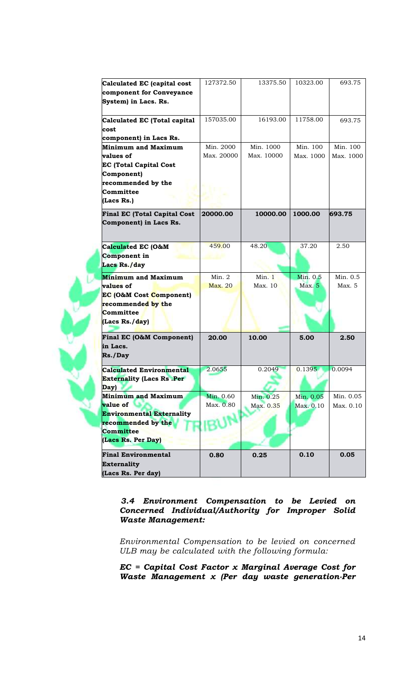| Calculated EC (capital cost         | 127372.50  | 13375.50   | 10323.00      | 693.75    |
|-------------------------------------|------------|------------|---------------|-----------|
| component for Conveyance            |            |            |               |           |
| System) in Lacs. Rs.                |            |            |               |           |
|                                     |            |            |               |           |
| Calculated EC (Total capital        | 157035.00  | 16193.00   | 11758.00      | 693.75    |
| cost                                |            |            |               |           |
| component) in Lacs Rs.              |            |            |               |           |
| <b>Minimum and Maximum</b>          | Min. 2000  | Min. 1000  | Min. 100      | Min. 100  |
| values of                           | Max. 20000 | Max. 10000 | Max. 1000     | Max. 1000 |
| <b>EC (Total Capital Cost</b>       |            |            |               |           |
| Component)                          |            |            |               |           |
| recommended by the                  |            |            |               |           |
| Committee                           |            |            |               |           |
| (Lacs Rs.)                          |            |            |               |           |
| <b>Final EC (Total Capital Cost</b> | 20000.00   | 10000.00   | 1000.00       | 693.75    |
| Component) in Lacs Rs.              |            |            |               |           |
|                                     |            |            |               |           |
|                                     |            |            |               |           |
| Calculated EC (O&M                  | 459.00     | 48.20      | 37.20         | 2.50      |
| Component in                        |            |            |               |           |
| Lacs Rs./day                        |            |            |               |           |
| <b>Minimum and Maximum</b>          | Min. 2     | Min.1      | Min. 0.5      | Min. 0.5  |
| values of                           | Max. 20    | Max. 10    | <b>Max.</b> 5 | Max.5     |
| EC (O&M Cost Component)             |            |            |               |           |
| recommended by the                  |            |            |               |           |
| Committee                           |            |            |               |           |
| (Lacs Rs./day)                      |            |            |               |           |
|                                     |            |            |               |           |
| Final EC (O&M Component)            | 20.00      | 10.00      | 5.00          | 2.50      |
| in Lacs.                            |            |            |               |           |
| Rs./Day                             |            |            |               |           |
| <b>Calculated Environmental</b>     | 2.0655     | 0.2049     | 0.1395        | 0.0094    |
| <b>Externality (Lacs Rs.Per</b>     |            |            |               |           |
| Day)                                |            |            |               |           |
| <b>Minimum and Maximum</b>          | Min. 0.60  | Min. 0.25  | Min. 0.05     | Min. 0.05 |
| value of                            | Max. 0.80  | Max. 0.35  | Max. 0.10     | Max. 0.10 |
| Environmental Externality           |            |            |               |           |
| recommended by the                  |            |            |               |           |
| <b>Committee</b>                    |            |            |               |           |
| (Lacs Rs. Per Day)                  |            |            |               |           |
|                                     |            |            |               |           |
| <b>Final Environmental</b>          | 0.80       | 0.25       | 0.10          | 0.05      |
| <b>Externality</b>                  |            |            |               |           |
| (Lacs Rs. Per day)                  |            |            |               |           |

*3.4 Environment Compensation to be Levied on Concerned Individual/Authority for Improper Solid Waste Management:*

*Environmental Compensation to be levied on concerned ULB may be calculated with the following formula:*

*EC = Capital Cost Factor x Marginal Average Cost for Waste Management x (Per day waste generation-Per*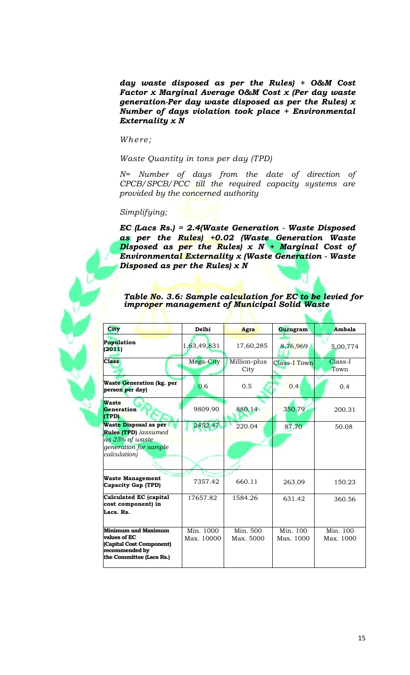*day waste disposed as per the Rules) + O&M Cost Factor x Marginal Average O&M Cost x (Per day waste generation-Per day waste disposed as per the Rules) x Number of days violation took place + Environmental Externality x N*

*Where;*

*Waste Quantity in tons per day (TPD)*

*N= Number of days from the date of direction of CPCB/SPCB/PCC till the required capacity systems are provided by the concerned authority*

### *Simplifying;*

*EC (Lacs Rs.) = 2.4(Waste Generation - Waste Disposed as per the Rules) +0.02 (Waste Generation Waste Disposed as per the Rules) x N + Marginal Cost of Environmental Externality x (Waste Generation - Waste Disposed as per the Rules) x N*

| Table No. 3.6: Sample calculation for EC to be levied for |
|-----------------------------------------------------------|
| improper management of Municipal Solid Waste              |

| <b>City</b>                                                                                                             | Delhi                   | Agra                  | Gurugram              | Ambala                |
|-------------------------------------------------------------------------------------------------------------------------|-------------------------|-----------------------|-----------------------|-----------------------|
| Population<br>(2011)                                                                                                    | 1,63,49,831             | 17,60,285             | 8,76,969              | 5,00,774              |
| <b>Class</b>                                                                                                            | Mega-City               | Million-plus<br>City  | Class-I Town          | $Class-I$<br>Town     |
| <b>Waste Generation (kg. per</b><br>person per day)                                                                     | 0.6                     | 0.5                   | 0.4                   | 0.4                   |
| <b>Waste</b><br>Generation<br>(TPD)                                                                                     | 9809.90                 | 880.14                | 350.79                | 200.31                |
| <b>Waste Disposal as per</b><br>Rules (TPD) (assumed<br>as 25% of waste<br><i>generation for sample</i><br>calculation) | 2452.47                 | 220.04                | 87.70                 | 50.08                 |
| <b>Waste Management</b><br>Capacity Gap (TPD)                                                                           | 7357.42                 | 660.11                | 263.09                | 150.23                |
| Calculated EC (capital<br>cost component) in<br>Lacs. Rs.                                                               | 17657.82                | 1584.26               | 631.42                | 360.56                |
| <b>Minimum and Maximum</b><br>values of EC<br>(Capital Cost Component)<br>recommended by<br>the Committee (Lacs Rs.)    | Min. 1000<br>Max. 10000 | Min. 500<br>Max. 5000 | Min. 100<br>Max. 1000 | Min. 100<br>Max. 1000 |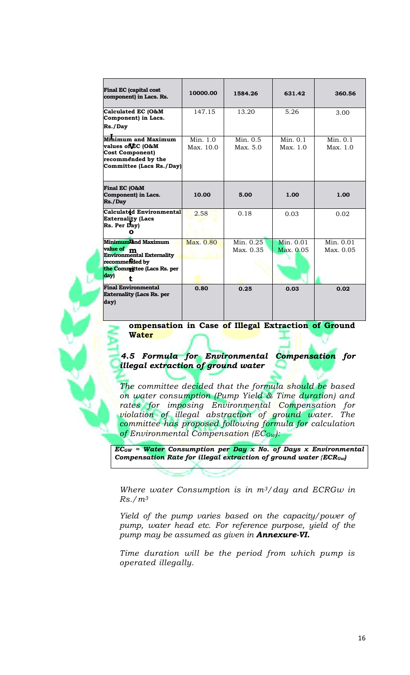| Final EC (capital cost<br>component) in Lacs. Rs.                                                                                   | 10000.00              | 1584.26                | 631.42                 | 360.56                 |
|-------------------------------------------------------------------------------------------------------------------------------------|-----------------------|------------------------|------------------------|------------------------|
| Calculated EC (O&M<br>Component) in Lacs.<br>Rs./Day                                                                                | 147.15                | 13.20                  | 5.26                   | 3.00                   |
| Minimum and Maximum<br>values of EC (O&M<br><b>Cost Component)</b><br>recommended by the<br>Committee (Lacs Rs./Day)                | Min. 1.0<br>Max. 10.0 | Min. $0.5$<br>Max. 5.0 | Min. $0.1$<br>Max. 1.0 | Min. $0.1$<br>Max. 1.0 |
| Final EC (O&M<br>Component) in Lacs.<br>Rs./Day                                                                                     | 10.00                 | 5.00                   | 1.00                   | 1.00                   |
| Calculatdd Environmental<br><b>Externality (Lacs</b><br>Rs. Per Day)                                                                | 2.58                  | 0.18                   | 0.03                   | 0.02                   |
| Minimumland Maximum<br>value of m<br><b>Environmental Externality</b><br>recommended by<br>the Committee (Lacs Rs. per<br>day)<br>ŧ | Max. 0.80             | Min. 0.25<br>Max. 0.35 | Min. 0.01<br>Max. 0.05 | Min. 0.01<br>Max. 0.05 |
| <b>Final Environmental</b><br><b>Externality (Lacs Rs. per</b><br>day)                                                              | 0.80                  | 0.25                   | 0.03                   | 0.02                   |

**ompensation in Case of Illegal Extraction of Ground Water**

*4.5 Formula for Environmental Compensation for illegal extraction of ground water*

*The committee decided that the formula should be based on water consumption (Pump Yield & Time duration) and rates for imposing Environmental Compensation for violation of illegal abstraction of ground water. The committee has proposed following formula for calculation of Environmental Compensation (ECGw):*

*ECGW = Water Consumption per Day x No. of Days x Environmental Compensation Rate for illegal extraction of ground water {ECRGw)*

*Where water Consumption is in m3/day and ECRGw in Rs./m<sup>3</sup>*

*Yield of the pump varies based on the capacity/power of pump, water head etc. For reference purpose, yield of the pump may be assumed as given in Annexure-VI.*

*Time duration will be the period from which pump is operated illegally.*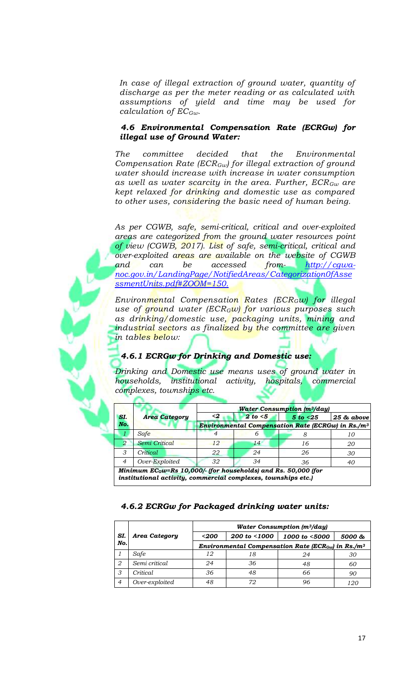*In case of illegal extraction of ground water, quantity of discharge as per the meter reading or as calculated with assumptions of yield and time may be used for calculation of ECGw.*

### *4.6 Environmental Compensation Rate (ECRGw) for illegal use of Ground Water:*

*The committee decided that the Environmental Compensation Rate (ECRGw) for illegal extraction of ground water should increase with increase in water consumption as well as water scarcity in the area. Further, ECRGw are kept relaxed for drinking and domestic use as compared to other uses, considering the basic need of human being.*

*As per CGWB, safe, semi-critical, critical and over-exploited areas are categorized from the ground water resources point of view (CGWB, 2017). List of safe, semi-critical, critical and over-exploited areas are available on the website of CGWB and can be accessed from- http://cgwanoc.gov.in/LandingPage/NotifiedAreas/Categorization0fAsse ssmentUnits.pdf#ZOOM=150.*

*Environmental Compensation Rates (ECRGw) for illegal use of ground water (ECRGw) for various purposes such as drinking/domestic use, packaging units, mining and industrial sectors as finalized by the committee are given in tables below:*

# *4.6.1 ECRGw for Drinking and Domestic use:*

*Drinking and Domestic use means uses of ground water in households, institutional activity, hospitals, commercial complexes, townships etc.*

|                             |                                                                                                                                | <b>Water Consumption (m3/day)</b> |          |                                                               |            |  |  |
|-----------------------------|--------------------------------------------------------------------------------------------------------------------------------|-----------------------------------|----------|---------------------------------------------------------------|------------|--|--|
| SI.                         | <b>Area Category</b>                                                                                                           | $\mathbf{<2}$                     | 2 to < 5 | 5 to < 25                                                     | 25 & above |  |  |
| No.                         |                                                                                                                                |                                   |          | Environmental Compensation Rate (ECRGw) in Rs./m <sup>3</sup> |            |  |  |
|                             | Safe                                                                                                                           |                                   | h        |                                                               |            |  |  |
| $\mathcal{D}_{\mathcal{L}}$ | Semi Critical                                                                                                                  | 12                                | 14       | 16                                                            | 20         |  |  |
| 3                           | Critical                                                                                                                       | 22                                | 24       | 26                                                            | 30         |  |  |
| $\overline{4}$              | Over-Exploited                                                                                                                 | 32                                | 34       | 36                                                            | 40         |  |  |
|                             | Minimum ECGw=Rs 10,000/- (for households) and Rs. 50,000 (for<br>institutional activity, commercial complexes, townships etc.) |                                   |          |                                                               |            |  |  |

## *4.6.2 ECRGw for Packaged drinking water units:*

|                |                      | <b>Water Consumption (m<sup>3</sup>/day)</b>                               |              |               |        |  |
|----------------|----------------------|----------------------------------------------------------------------------|--------------|---------------|--------|--|
| SI.            | <b>Area Category</b> | $200$                                                                      | 200 to <1000 | 1000 to <5000 | 5000 & |  |
| No.            |                      | Environmental Compensation Rate (ECR <sub>Gw</sub> ) in Rs./m <sup>3</sup> |              |               |        |  |
|                | Safe                 | 12                                                                         | 18           | 24            | 30     |  |
| 2              | Semi critical        | 24                                                                         | 36           | 48            | 60     |  |
| 3              | <i>Critical</i>      | 36                                                                         | 48           | 66            | 90     |  |
| $\overline{4}$ | Over-exploited       | 48                                                                         | 72           | 96            | 120    |  |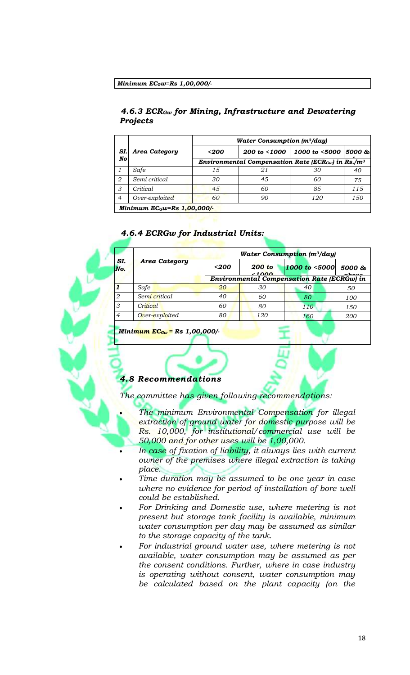#### *Minimum ECGw=Rs 1,00,000/-*

## *4.6.3 ECRGw for Mining, Infrastructure and Dewatering Projects*

|                |                | <b>Water Consumption (m<sup>3</sup>/day)</b>                               |              |                              |     |  |
|----------------|----------------|----------------------------------------------------------------------------|--------------|------------------------------|-----|--|
| SI.            | Area Category  | $200$                                                                      | 200 to <1000 | 1000 to $\leq 5000$   5000 & |     |  |
| No             |                | Environmental Compensation Rate (ECR <sub>Gw</sub> ) in Rs./m <sup>3</sup> |              |                              |     |  |
|                | Safe           | 15                                                                         |              | 30                           | 40  |  |
| 2              | Semi critical  | 30                                                                         | 45           | 60                           | 75  |  |
| 3              | Critical       | 45                                                                         | 60           | 85                           | 115 |  |
| $\overline{4}$ | Over-exploited | 60                                                                         | 90           | 120                          | 150 |  |
|                | $-$<br>–       | $\sim$ $\sim$ $\sim$ $\sim$ $\sim$ $\sim$                                  |              |                              |     |  |

*Minimum ECGw=Rs 1,00,000/-*

## *4.6.4 ECRGw for Industrial Units:*

| SI.<br>No.     | <b>Area Category</b> | <b>Water Consumption (m<sup>3</sup>/day)</b> |                 |               |            |
|----------------|----------------------|----------------------------------------------|-----------------|---------------|------------|
|                |                      | $200$                                        | 200 to<br>21000 | 1000 to <5000 | 5000 &     |
|                |                      | Environmental Compensation Rate (ECRGw) in   |                 |               |            |
|                | <b>Safe</b>          | 20                                           | 30              | 40            | 50         |
| 2              | Semi critical        | 40                                           | 60              | 80            | 100        |
| 3              | Critical             | 60                                           | 80              | 110           | 150        |
| $\overline{4}$ | Over-exploited       | 80                                           | 120             | 160           | <i>200</i> |

*Minimum ECGw = Rs 1,00,000/-*

#### *4.8 Recommendations*

*The committee has given following recommendations:*

- *The minimum Environmental Compensation for illegal extraction of ground water for domestic purpose will be Rs. 10,000, for institutional/commercial use will be 50,000 and for other uses will be 1,00,000.*
- In case of fixation of liability, it always lies with current *owner of the premises where illegal extraction is taking place.*
- *Time duration may be assumed to be one year in case where no evidence for period of installation of bore well could be established.*
- *For Drinking and Domestic use, where metering is not present but storage tank facility is available, minimum water consumption per day may be assumed as similar to the storage capacity of the tank.*
- *For industrial ground water use, where metering is not available, water consumption may be assumed as per the consent conditions. Further, where in case industry is operating without consent, water consumption may be calculated based on the plant capacity (on the*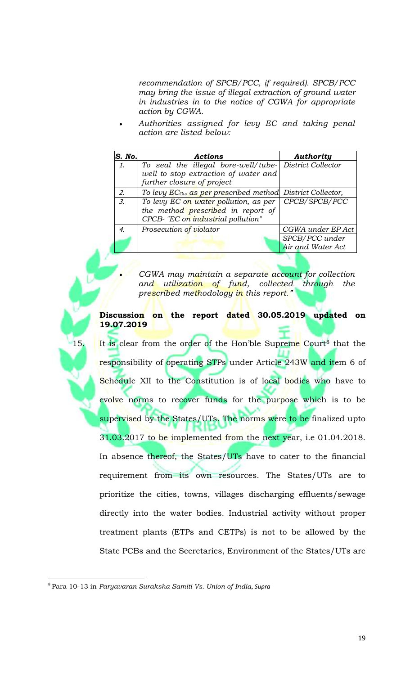*recommendation of SPCB/PCC, if required). SPCB/PCC may bring the issue of illegal extraction of ground water in industries in to the notice of CGWA for appropriate action by CGWA.*

 *Authorities assigned for levy EC and taking penal action are listed below:*

| S. No.          | <b>Actions</b>                                                 | Authority         |
|-----------------|----------------------------------------------------------------|-------------------|
| $\mathcal{I}$ . | To seal the illegal bore-well/tube- District Collector         |                   |
|                 | well to stop extraction of water and                           |                   |
|                 | further closure of project                                     |                   |
| 2.              | To levy $EC_{Gw}$ as per prescribed method District Collector, |                   |
| $\mathfrak{Z}$  | To levy EC on water pollution, as per                          | CPCB/SPCB/PCC     |
|                 | the method prescribed in report of                             |                   |
|                 | CPCB- "EC on industrial pollution"                             |                   |
| 4.              | Prosecution of violator                                        | CGWA under EP Act |
|                 |                                                                | SPCB/PCC under    |
|                 |                                                                | Air and Water Act |

 *CGWA may maintain a separate account for collection and utilization of fund, collected through the prescribed methodology in this report."*

**Discussion on the report dated 30.05.2019 updated on 19.07.2019**

15. It is clear from the order of the Hon'ble Supreme Court<sup>8</sup> that the responsibility of operating STPs under Article 243W and item 6 of Schedule XII to the Constitution is of local bodies who have to evolve norms to recover funds for the purpose which is to be supervised by the States/UTs. The norms were to be finalized upto 31.03.2017 to be implemented from the next year, i.e 01.04.2018. In absence thereof, the States/UTs have to cater to the financial requirement from its own resources. The States/UTs are to prioritize the cities, towns, villages discharging effluents/sewage directly into the water bodies. Industrial activity without proper treatment plants (ETPs and CETPs) is not to be allowed by the State PCBs and the Secretaries, Environment of the States/UTs are

 $\overline{\phantom{a}}$ 

<sup>8</sup> Para 10-13 in *Paryavaran Suraksha Samiti Vs. Union of India*, *Supra*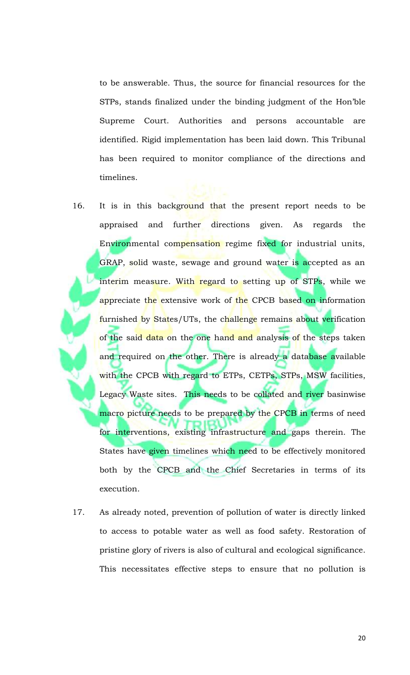to be answerable. Thus, the source for financial resources for the STPs, stands finalized under the binding judgment of the Hon'ble Supreme Court. Authorities and persons accountable are identified. Rigid implementation has been laid down. This Tribunal has been required to monitor compliance of the directions and timelines.

- 16. It is in this background that the present report needs to be appraised and further directions given. As regards the Environmental compensation regime fixed for industrial units, GRAP, solid waste, sewage and ground water is accepted as an interim measure. With regard to setting up of STPs, while we appreciate the extensive work of the CPCB based on information furnished by States/UTs, the challenge remains about verification of the said data on the one hand and analysis of the steps taken and required on the other. There is already a database available with the CPCB with regard to ETPs, CETPs, STPs, MSW facilities, Legacy Waste sites. This needs to be collated and river basinwise macro picture needs to be prepared by the CPCB in terms of need for interventions, existing infrastructure and gaps therein. The States have given timelines which need to be effectively monitored both by the CPCB and the Chief Secretaries in terms of its execution.
- 17. As already noted, prevention of pollution of water is directly linked to access to potable water as well as food safety. Restoration of pristine glory of rivers is also of cultural and ecological significance. This necessitates effective steps to ensure that no pollution is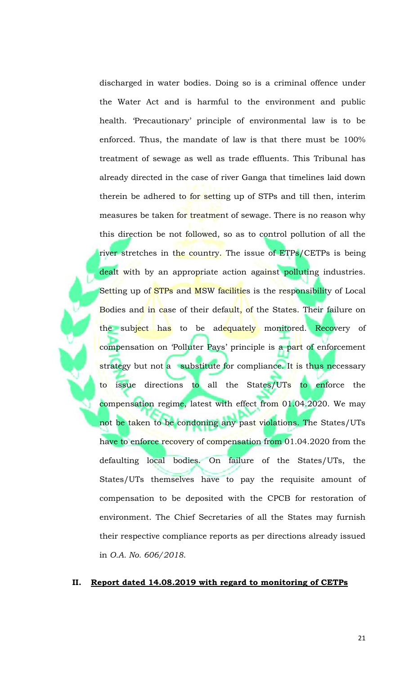discharged in water bodies. Doing so is a criminal offence under the Water Act and is harmful to the environment and public health. 'Precautionary' principle of environmental law is to be enforced. Thus, the mandate of law is that there must be 100% treatment of sewage as well as trade effluents. This Tribunal has already directed in the case of river Ganga that timelines laid down therein be adhered to for setting up of STPs and till then, interim measures be taken for treatment of sewage. There is no reason why this direction be not followed, so as to control pollution of all the river stretches in the country. The issue of ETPs/CETPs is being dealt with by an appropriate action against polluting industries. Setting up of STPs and MSW facilities is the responsibility of Local Bodies and in case of their default, of the States. Their failure on the subject has to be adequately monitored. Recovery of compensation on 'Polluter Pays' principle is a part of enforcement strategy but not a substitute for compliance. It is thus necessary to issue directions to all the States/UTs to enforce the compensation regime, latest with effect from 01.04.2020. We may not be taken to be condoning any past violations. The States/UTs have to enforce recovery of compensation from 01.04.2020 from the defaulting local bodies. On failure of the States/UTs, the States/UTs themselves have to pay the requisite amount of compensation to be deposited with the CPCB for restoration of environment. The Chief Secretaries of all the States may furnish their respective compliance reports as per directions already issued in *O.A. No. 606/2018*.

### **II. Report dated 14.08.2019 with regard to monitoring of CETPs**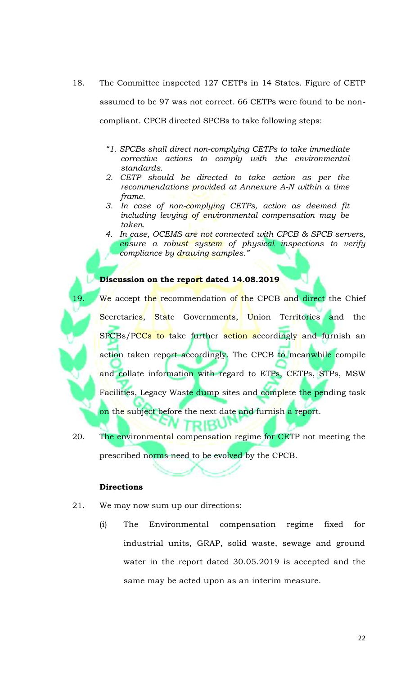- 18. The Committee inspected 127 CETPs in 14 States. Figure of CETP assumed to be 97 was not correct. 66 CETPs were found to be noncompliant. CPCB directed SPCBs to take following steps:
	- *"1. SPCBs shall direct non-complying CETPs to take immediate corrective actions to comply with the environmental standards.*
	- *2. CETP should be directed to take action as per the recommendations provided at Annexure A-N within a time frame.*
	- *3. In case of non-complying CETPs, action as deemed fit including levying of environmental compensation may be taken.*
	- *4. In case, OCEMS are not connected with CPCB & SPCB servers, ensure a robust system of physical inspections to verify compliance by drawing samples."*

#### **Discussion on the report dated 14.08.2019**

We accept the recommendation of the CPCB and direct the Chief Secretaries, State Governments, Union Territories and the SPCBs/PCCs to take further action accordingly and furnish an action taken report accordingly. The CPCB to meanwhile compile and collate information with regard to ETPs, CETPs, STPs, MSW Facilities, Legacy Waste dump sites and complete the pending task on the subject before the next date and furnish a report.

20. The environmental compensation regime for CETP not meeting the prescribed norms need to be evolved by the CPCB.

יטאופר

#### **Directions**

- 21. We may now sum up our directions:
	- (i) The Environmental compensation regime fixed for industrial units, GRAP, solid waste, sewage and ground water in the report dated 30.05.2019 is accepted and the same may be acted upon as an interim measure.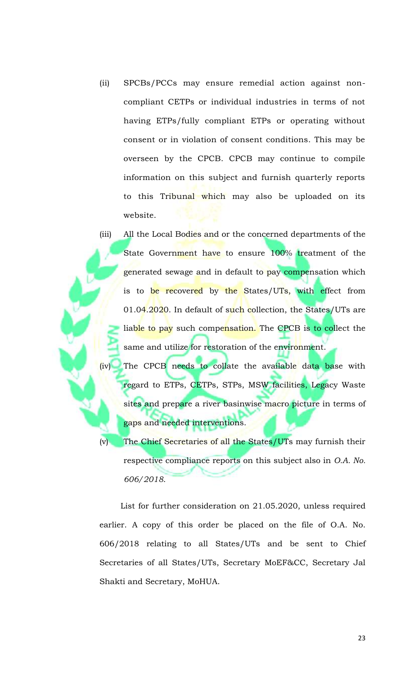- (ii) SPCBs/PCCs may ensure remedial action against noncompliant CETPs or individual industries in terms of not having ETPs/fully compliant ETPs or operating without consent or in violation of consent conditions. This may be overseen by the CPCB. CPCB may continue to compile information on this subject and furnish quarterly reports to this Tribunal which may also be uploaded on its website.
- (iii) All the Local Bodies and or the concerned departments of the State Government have to ensure 100% treatment of the generated sewage and in default to pay compensation which is to be recovered by the States/UTs, with effect from 01.04.2020. In default of such collection, the States/UTs are liable to pay such compensation. The CPCB is to collect the same and utilize for restoration of the environment.
	- (iv) The CPCB needs to collate the available data base with regard to ETPs, CETPs, STPs, MSW facilities, Legacy Waste sites and prepare a river basinwise macro picture in terms of gaps and needed interventions.

(v) The Chief Secretaries of all the States/UTs may furnish their respective compliance reports on this subject also in *O.A. No. 606/2018*.

List for further consideration on 21.05.2020, unless required earlier. A copy of this order be placed on the file of O.A. No. 606/2018 relating to all States/UTs and be sent to Chief Secretaries of all States/UTs, Secretary MoEF&CC, Secretary Jal Shakti and Secretary, MoHUA.